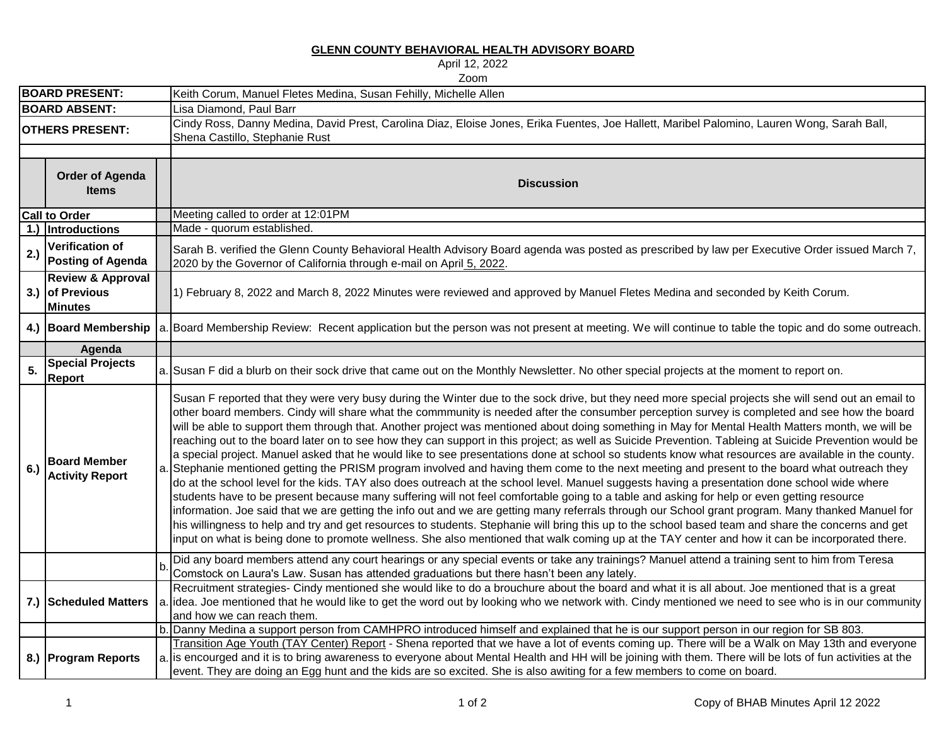**GLENN COUNTY BEHAVIORAL HEALTH ADVISORY BOARD**

April 12, 2022

|                        | Zoom                                                              |  |                                                                                                                                                                                                                                                                                                                                                                                                                                                                                                                                                                                                                                                                                                                                                                                                                                                                                                                                                                                                                                                                                                                                                                                                                                                                                                                                                                                                                                                                                                                                                                                                                                                                                             |  |  |  |  |
|------------------------|-------------------------------------------------------------------|--|---------------------------------------------------------------------------------------------------------------------------------------------------------------------------------------------------------------------------------------------------------------------------------------------------------------------------------------------------------------------------------------------------------------------------------------------------------------------------------------------------------------------------------------------------------------------------------------------------------------------------------------------------------------------------------------------------------------------------------------------------------------------------------------------------------------------------------------------------------------------------------------------------------------------------------------------------------------------------------------------------------------------------------------------------------------------------------------------------------------------------------------------------------------------------------------------------------------------------------------------------------------------------------------------------------------------------------------------------------------------------------------------------------------------------------------------------------------------------------------------------------------------------------------------------------------------------------------------------------------------------------------------------------------------------------------------|--|--|--|--|
| <b>BOARD PRESENT:</b>  |                                                                   |  | Keith Corum, Manuel Fletes Medina, Susan Fehilly, Michelle Allen                                                                                                                                                                                                                                                                                                                                                                                                                                                                                                                                                                                                                                                                                                                                                                                                                                                                                                                                                                                                                                                                                                                                                                                                                                                                                                                                                                                                                                                                                                                                                                                                                            |  |  |  |  |
|                        | <b>BOARD ABSENT:</b>                                              |  | Lisa Diamond, Paul Barr                                                                                                                                                                                                                                                                                                                                                                                                                                                                                                                                                                                                                                                                                                                                                                                                                                                                                                                                                                                                                                                                                                                                                                                                                                                                                                                                                                                                                                                                                                                                                                                                                                                                     |  |  |  |  |
| <b>OTHERS PRESENT:</b> |                                                                   |  | Cindy Ross, Danny Medina, David Prest, Carolina Diaz, Eloise Jones, Erika Fuentes, Joe Hallett, Maribel Palomino, Lauren Wong, Sarah Ball,<br>Shena Castillo, Stephanie Rust                                                                                                                                                                                                                                                                                                                                                                                                                                                                                                                                                                                                                                                                                                                                                                                                                                                                                                                                                                                                                                                                                                                                                                                                                                                                                                                                                                                                                                                                                                                |  |  |  |  |
|                        |                                                                   |  |                                                                                                                                                                                                                                                                                                                                                                                                                                                                                                                                                                                                                                                                                                                                                                                                                                                                                                                                                                                                                                                                                                                                                                                                                                                                                                                                                                                                                                                                                                                                                                                                                                                                                             |  |  |  |  |
|                        | <b>Order of Agenda</b><br><b>Items</b>                            |  | <b>Discussion</b>                                                                                                                                                                                                                                                                                                                                                                                                                                                                                                                                                                                                                                                                                                                                                                                                                                                                                                                                                                                                                                                                                                                                                                                                                                                                                                                                                                                                                                                                                                                                                                                                                                                                           |  |  |  |  |
|                        | <b>Call to Order</b>                                              |  | Meeting called to order at 12:01PM                                                                                                                                                                                                                                                                                                                                                                                                                                                                                                                                                                                                                                                                                                                                                                                                                                                                                                                                                                                                                                                                                                                                                                                                                                                                                                                                                                                                                                                                                                                                                                                                                                                          |  |  |  |  |
|                        | 1.) Introductions                                                 |  | Made - quorum established.                                                                                                                                                                                                                                                                                                                                                                                                                                                                                                                                                                                                                                                                                                                                                                                                                                                                                                                                                                                                                                                                                                                                                                                                                                                                                                                                                                                                                                                                                                                                                                                                                                                                  |  |  |  |  |
| 2.)                    | <b>Verification of</b><br><b>Posting of Agenda</b>                |  | Sarah B. verified the Glenn County Behavioral Health Advisory Board agenda was posted as prescribed by law per Executive Order issued March 7,<br>2020 by the Governor of California through e-mail on April 5, 2022.                                                                                                                                                                                                                                                                                                                                                                                                                                                                                                                                                                                                                                                                                                                                                                                                                                                                                                                                                                                                                                                                                                                                                                                                                                                                                                                                                                                                                                                                       |  |  |  |  |
|                        | <b>Review &amp; Approval</b><br>3.) of Previous<br><b>Minutes</b> |  | 1) February 8, 2022 and March 8, 2022 Minutes were reviewed and approved by Manuel Fletes Medina and seconded by Keith Corum.                                                                                                                                                                                                                                                                                                                                                                                                                                                                                                                                                                                                                                                                                                                                                                                                                                                                                                                                                                                                                                                                                                                                                                                                                                                                                                                                                                                                                                                                                                                                                               |  |  |  |  |
|                        | 4.) Board Membership                                              |  | a. Board Membership Review: Recent application but the person was not present at meeting. We will continue to table the topic and do some outreach.                                                                                                                                                                                                                                                                                                                                                                                                                                                                                                                                                                                                                                                                                                                                                                                                                                                                                                                                                                                                                                                                                                                                                                                                                                                                                                                                                                                                                                                                                                                                         |  |  |  |  |
|                        | Agenda                                                            |  |                                                                                                                                                                                                                                                                                                                                                                                                                                                                                                                                                                                                                                                                                                                                                                                                                                                                                                                                                                                                                                                                                                                                                                                                                                                                                                                                                                                                                                                                                                                                                                                                                                                                                             |  |  |  |  |
| 5.                     | <b>Special Projects</b><br><b>Report</b>                          |  | a. Susan F did a blurb on their sock drive that came out on the Monthly Newsletter. No other special projects at the moment to report on.                                                                                                                                                                                                                                                                                                                                                                                                                                                                                                                                                                                                                                                                                                                                                                                                                                                                                                                                                                                                                                                                                                                                                                                                                                                                                                                                                                                                                                                                                                                                                   |  |  |  |  |
| 6.)                    | <b>Board Member</b><br><b>Activity Report</b>                     |  | Susan F reported that they were very busy during the Winter due to the sock drive, but they need more special projects she will send out an email to<br>other board members. Cindy will share what the commmunity is needed after the consumber perception survey is completed and see how the board<br>will be able to support them through that. Another project was mentioned about doing something in May for Mental Health Matters month, we will be<br>reaching out to the board later on to see how they can support in this project; as well as Suicide Prevention. Tableing at Suicide Prevention would be<br>a special project. Manuel asked that he would like to see presentations done at school so students know what resources are available in the county.<br>a. Stephanie mentioned getting the PRISM program involved and having them come to the next meeting and present to the board what outreach they<br>do at the school level for the kids. TAY also does outreach at the school level. Manuel suggests having a presentation done school wide where<br>students have to be present because many suffering will not feel comfortable going to a table and asking for help or even getting resource<br>information. Joe said that we are getting the info out and we are getting many referrals through our School grant program. Many thanked Manuel for<br>his willingness to help and try and get resources to students. Stephanie will bring this up to the school based team and share the concerns and get<br>input on what is being done to promote wellness. She also mentioned that walk coming up at the TAY center and how it can be incorporated there. |  |  |  |  |
|                        |                                                                   |  | Did any board members attend any court hearings or any special events or take any trainings? Manuel attend a training sent to him from Teresa<br>Comstock on Laura's Law. Susan has attended graduations but there hasn't been any lately.                                                                                                                                                                                                                                                                                                                                                                                                                                                                                                                                                                                                                                                                                                                                                                                                                                                                                                                                                                                                                                                                                                                                                                                                                                                                                                                                                                                                                                                  |  |  |  |  |
|                        | 7.) Scheduled Matters                                             |  | Recruitment strategies- Cindy mentioned she would like to do a brouchure about the board and what it is all about. Joe mentioned that is a great<br>a. idea. Joe mentioned that he would like to get the word out by looking who we network with. Cindy mentioned we need to see who is in our community<br>and how we can reach them.                                                                                                                                                                                                                                                                                                                                                                                                                                                                                                                                                                                                                                                                                                                                                                                                                                                                                                                                                                                                                                                                                                                                                                                                                                                                                                                                                      |  |  |  |  |
|                        |                                                                   |  | b. Danny Medina a support person from CAMHPRO introduced himself and explained that he is our support person in our region for SB 803.                                                                                                                                                                                                                                                                                                                                                                                                                                                                                                                                                                                                                                                                                                                                                                                                                                                                                                                                                                                                                                                                                                                                                                                                                                                                                                                                                                                                                                                                                                                                                      |  |  |  |  |
|                        | 8.) Program Reports                                               |  | Transition Age Youth (TAY Center) Report - Shena reported that we have a lot of events coming up. There will be a Walk on May 13th and everyone<br>a. is encourged and it is to bring awareness to everyone about Mental Health and HH will be joining with them. There will be lots of fun activities at the<br>event. They are doing an Egg hunt and the kids are so excited. She is also awiting for a few members to come on board.                                                                                                                                                                                                                                                                                                                                                                                                                                                                                                                                                                                                                                                                                                                                                                                                                                                                                                                                                                                                                                                                                                                                                                                                                                                     |  |  |  |  |